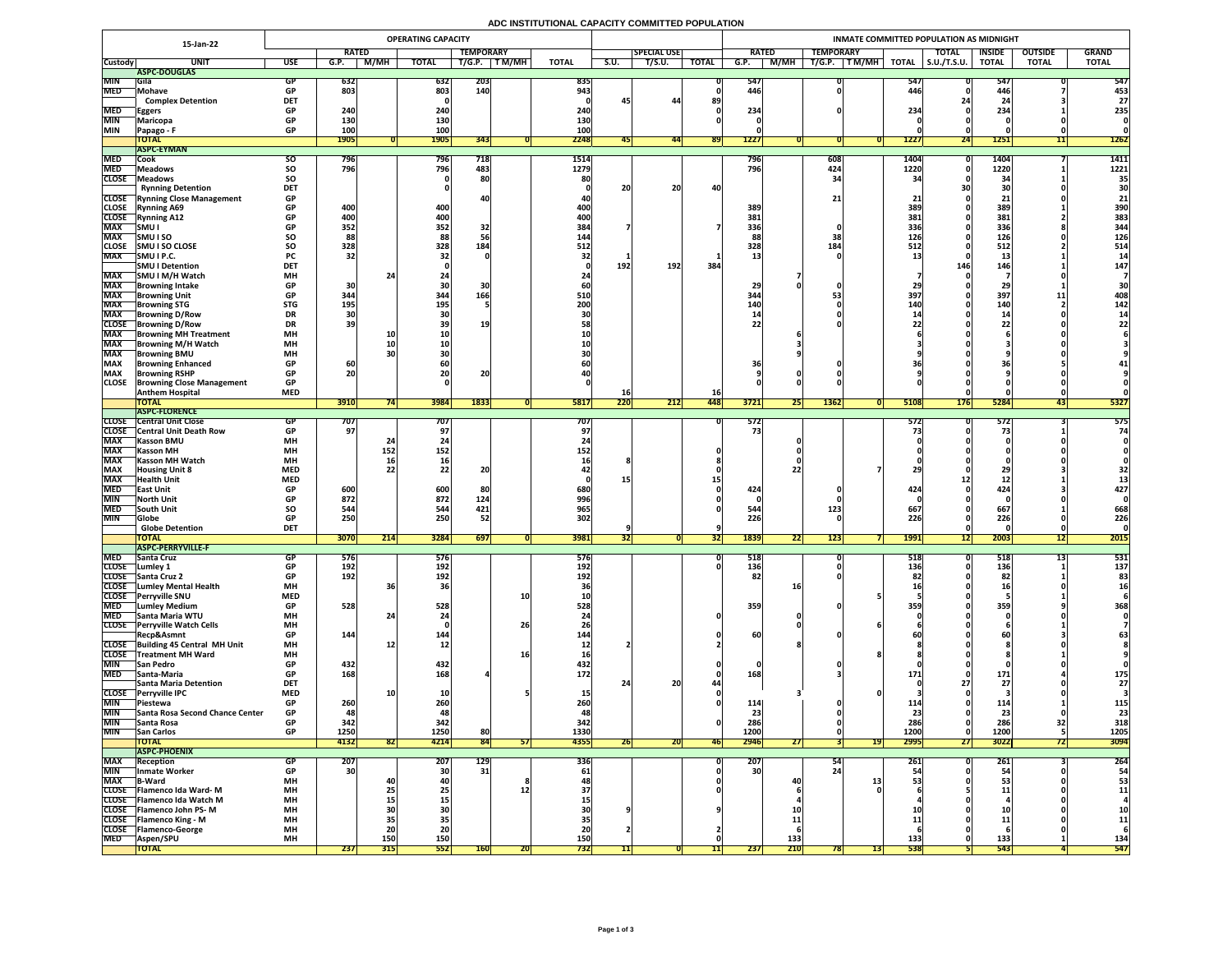# **ADC INSTITUTIONAL CAPACITY COMMITTED POPULATION**

|                              | 15-Jan-22                                                  | <b>OPERATING CAPACITY</b> |              |                         |                   |                  |              |                          |           |                    |              |                        | INMATE COMMITTED POPULATION AS MIDNIGHT |                   |                     |               |                |              |  |  |
|------------------------------|------------------------------------------------------------|---------------------------|--------------|-------------------------|-------------------|------------------|--------------|--------------------------|-----------|--------------------|--------------|------------------------|-----------------------------------------|-------------------|---------------------|---------------|----------------|--------------|--|--|
|                              |                                                            |                           | <b>RATED</b> |                         |                   | <b>TEMPORARY</b> |              |                          |           | <b>SPECIAL USE</b> |              | <b>RATED</b>           | <b>TEMPORARY</b>                        |                   | <b>TOTAL</b>        | <b>INSIDE</b> | <b>OUTSIDE</b> | <b>GRAND</b> |  |  |
| <b>Custody</b>               | <b>UNI</b>                                                 | <b>USE</b>                | G.P.         | M/MH                    | <b>TOTAL</b>      | T/G.P.           | <b>TM/MH</b> | <b>TOTAL</b>             | S.U.      | T/S.U.             | <b>TOTAL</b> | M/MH<br>G.P.           | T/G.P.<br>TM/MH                         | <b>TOTAL</b>      | $\vert$ S.U./T.S.U. | <b>TOTAL</b>  | <b>TOTAL</b>   | <b>TOTAL</b> |  |  |
|                              | ASPC-DOUGLAS                                               |                           |              |                         |                   |                  |              |                          |           |                    |              |                        |                                         |                   |                     |               |                |              |  |  |
| <b>MIN</b>                   | <b>IGila</b>                                               |                           | 632          |                         | 632               | <b>203</b>       |              | 835                      |           |                    |              | 547                    |                                         | 547               |                     | 547           |                | 547          |  |  |
| <b>MED</b>                   | <b>Mohave</b><br><b>Complex Detention</b>                  | <b>DET</b>                | 803          |                         | 803               | <b>140</b>       |              | 943                      |           | 44                 | 89           | 446                    |                                         | 446               |                     | 446           |                | 453<br>27    |  |  |
| <b>MED</b>                   |                                                            | <b>GP</b>                 | 240          |                         | 240               |                  |              | 240                      |           |                    |              | 234                    |                                         | 234               |                     | 234           |                | 235          |  |  |
| <b>MIN</b>                   | <b>Eggers</b><br>Maricopa                                  |                           | <b>130</b>   |                         | <b>130</b>        |                  |              | 130                      |           |                    |              |                        |                                         |                   |                     |               |                |              |  |  |
| <b>MIN</b>                   | Papago - F                                                 | <b>GP</b>                 | 100          |                         | 100               |                  |              | 100                      |           |                    |              |                        |                                         |                   |                     |               |                |              |  |  |
|                              | <b>TOTAL</b>                                               |                           | <b>1905</b>  |                         | <b>1905</b>       | 343              |              | 2248                     | 45        | 44                 | <b>891</b>   | <b>1227</b>            |                                         | <b>1227</b>       | 24                  | <b>1251</b>   | 11             | <b>1262</b>  |  |  |
|                              | <b>ASPC-EYMAN</b>                                          |                           |              |                         |                   |                  |              |                          |           |                    |              |                        |                                         |                   |                     |               |                |              |  |  |
| <b>MED</b>                   | <b>Cook</b>                                                | <b>SO</b>                 | 796          |                         | 796               | 718              |              | 1514                     |           |                    |              | 796                    | 608                                     | 1404              |                     | 1404          |                | 1411         |  |  |
| <b>MED</b>                   | <b>Meadows</b>                                             | <b>SO</b>                 | 796          |                         | 796               | 483              |              | 1279                     |           |                    |              | 796                    | 424                                     | 1220              |                     | 1220          |                | 1221         |  |  |
| <b>CLOSE</b>                 | Meadows                                                    | SO                        |              |                         |                   | 80               |              |                          |           |                    |              |                        |                                         |                   |                     | $\mathbf{2}$  |                | 35           |  |  |
|                              | <b>Rynning Detention</b>                                   | <b>DET</b>                |              |                         |                   |                  |              |                          | 20        | 20                 | 40           |                        |                                         |                   |                     | JL            |                | 30           |  |  |
|                              | <b>CLOSE</b> Rynning Close Management                      | <b>GP</b>                 |              |                         | 400               |                  |              |                          |           |                    |              |                        |                                         |                   |                     |               |                |              |  |  |
| <b>CLOSE</b><br><b>CLOSE</b> | <b>Rynning A69</b><br><b>Rynning A12</b>                   | <b>GP</b><br><b>GP</b>    | 400<br>400   |                         | 400               |                  |              | 400 <br><b>400</b>       |           |                    |              | 389<br>381             |                                         | 389<br>381        |                     | 389<br>381    |                | 390<br>383   |  |  |
| <b>MAX</b>                   | <b>SMUI</b>                                                |                           | 352          |                         | 352               | 32               |              | 384                      |           |                    |              | 336                    |                                         | 336               |                     | 336           |                | 344          |  |  |
| <b>MAX</b>                   | <b>SMUISO</b>                                              | SO                        | 88           |                         | 88                |                  |              | 144                      |           |                    |              |                        |                                         | 126               |                     | 126           |                | 126          |  |  |
| <b>CLOSE</b>                 | <b>SMU I SO CLOSE</b>                                      | <b>SO</b>                 | 328          |                         | 328               | 184              |              | 512                      |           |                    |              | 328                    | 184                                     | 512               |                     | 512           |                | 514          |  |  |
| <b>MAX</b>                   | SMU I P.C.                                                 | <b>PC</b>                 | 32           |                         |                   |                  |              |                          |           |                    |              |                        |                                         |                   |                     | ᅩJ            |                |              |  |  |
|                              | <b>SMU I Detention</b>                                     | <b>DET</b>                |              |                         |                   |                  |              |                          | 192       | 192                | 384          |                        |                                         |                   | 146                 | 146           |                | 147          |  |  |
| <b>MAX</b>                   | SMU I M/H Watch                                            | <b>MH</b>                 |              |                         |                   |                  |              |                          |           |                    |              |                        |                                         |                   |                     |               |                |              |  |  |
| <b>MAX</b>                   | <b>Browning Intake</b>                                     | <b>GP</b>                 | 30           |                         | <b>3U</b>         |                  |              |                          |           |                    |              | 20                     |                                         |                   |                     |               |                |              |  |  |
| <b>MAX</b>                   | <b>Browning Unit</b>                                       | <b>GP</b>                 | 344          |                         | 344               | 166'             |              | 510                      |           |                    |              | 344                    |                                         | 397               |                     | 397           | ᆂᆂ             | 408          |  |  |
| <b>MAX</b>                   | <b>Browning STG</b>                                        | <b>STG</b>                | 195          |                         | 195               |                  |              | <b>200</b>               |           |                    |              | <b>140</b>             |                                         |                   |                     | <b>140</b>    |                | 142          |  |  |
| <b>MAX</b>                   | <b>Browning D/Row</b>                                      | <b>DR</b>                 | 30<br>39     |                         |                   |                  |              |                          |           |                    |              |                        |                                         |                   |                     | -45           |                |              |  |  |
| <b>CLOSE</b><br><b>MAX</b>   | <b>Browning D/Row</b><br><b>Browning MH Treatment</b>      | <b>DR</b><br><b>MH</b>    |              |                         |                   |                  |              |                          |           |                    |              |                        |                                         |                   |                     |               |                |              |  |  |
| <b>MAX</b>                   | <b>TBrowning M/H Watch</b>                                 | <b>MH</b>                 |              |                         |                   |                  |              |                          |           |                    |              |                        |                                         |                   |                     |               |                |              |  |  |
| <b>MAX</b>                   | <b>IBrowning BMU</b>                                       | <b>MH</b>                 |              |                         |                   |                  |              |                          |           |                    |              |                        |                                         |                   |                     |               |                |              |  |  |
| <b>MAX</b>                   | <b>Browning Enhanced</b>                                   | <b>GP</b>                 | 60           |                         |                   |                  |              |                          |           |                    |              |                        |                                         |                   |                     |               |                |              |  |  |
| <b>MAX</b>                   | <b>Browning RSHP</b>                                       | <b>GP</b>                 | 20           |                         | ZUI               | ZU               |              |                          |           |                    |              |                        |                                         |                   |                     |               |                |              |  |  |
| <b>CLOSE</b>                 | <b>Browning Close Management</b>                           | <b>GP</b>                 |              |                         |                   |                  |              |                          |           |                    |              |                        |                                         |                   |                     |               |                |              |  |  |
|                              | <b>Anthem Hospital</b>                                     | <b>MED</b>                |              |                         |                   |                  |              |                          | <b>16</b> |                    | <b>16</b>    |                        |                                         |                   |                     |               |                |              |  |  |
|                              | <b>TOTAL</b>                                               |                           | 3910         |                         | 3984              | 1833             |              | 5817                     | 220       | 212                | 448          | 3721<br><b>Z51</b>     | 1362                                    | 5108              | <b>176</b>          | 5284          | 43             | 5327         |  |  |
|                              | <b>ASPC-FLORENCE</b>                                       |                           |              |                         |                   |                  |              |                          |           |                    |              |                        |                                         |                   |                     |               |                |              |  |  |
| <b>CLOSE</b><br><b>CLOSE</b> | <b>Central Unit Close</b><br><b>Central Unit Death Row</b> |                           | 707 <br>97   |                         | 707               |                  |              | $\overline{7}07'$        |           |                    |              | 572<br>75              |                                         | <b>5721</b>       |                     | 572           |                | 575<br>74    |  |  |
| <b>MAX</b>                   | <b>Kasson BMU</b>                                          | <b>MH</b>                 |              |                         |                   |                  |              |                          |           |                    |              |                        |                                         |                   |                     |               |                |              |  |  |
| <b>MAX</b>                   | <b> Kasson MH</b>                                          | <b>MH</b>                 |              | 152                     | 152               |                  |              | 152                      |           |                    |              |                        |                                         |                   |                     |               |                |              |  |  |
| <b>MAX</b>                   | <b>Kasson MH Watch</b>                                     | <b>MH</b>                 |              | <b>16</b>               |                   |                  |              |                          |           |                    |              |                        |                                         |                   |                     |               |                |              |  |  |
| <b>MAX</b>                   | <b>Housing Unit 8</b>                                      | <b>MED</b>                |              | 22                      |                   | nn.<br>ZU        |              |                          |           |                    |              |                        |                                         |                   |                     |               |                |              |  |  |
| <b>MAX</b>                   | <b>Health Unit</b>                                         | <b>MED</b>                |              |                         |                   |                  |              |                          |           |                    |              |                        |                                         |                   |                     |               |                |              |  |  |
| <b>MED</b>                   | <b>TEast Unit</b>                                          |                           | 600          |                         | 600               | 80 <sub>1</sub>  |              | 680                      |           |                    |              | 424                    |                                         | <b>474</b>        |                     | 424           |                | 427          |  |  |
| <b>MIN</b>                   | <b>North Unit</b>                                          |                           | 872          |                         | 872               | 124              |              | 996                      |           |                    |              |                        |                                         |                   |                     |               |                |              |  |  |
| <b>MED</b>                   | <b>South Unit</b>                                          | <b>SO</b>                 | 544          |                         | 544               | 421              |              | 965                      |           |                    |              | 544                    | 123                                     | 667               |                     | 667           |                | 668          |  |  |
| <b>MIN</b>                   | <b>Globe</b>                                               | <b>GP</b>                 | 250          |                         | 250               | 52               |              | 302                      |           |                    |              | 226                    |                                         | 226               |                     | 226           |                | 226          |  |  |
|                              | <b>Globe Detention</b><br><b>TOTAL</b>                     | <b>DET</b>                | 3070         | $\overline{\mathbf{A}}$ | 3284              | 697              |              | 3981                     |           |                    |              | 1839<br>$\overline{2}$ | 123                                     | <b>1991</b>       |                     | 2003          | $\overline{A}$ | 2015         |  |  |
|                              | <b>ASPC-PERRYVILLE-F</b>                                   |                           |              | <b>Z14</b>              |                   |                  |              |                          | 52        |                    |              | 22                     |                                         |                   | 12                  |               | 12             |              |  |  |
| <b>MED</b>                   | <b>Santa Cruz</b>                                          |                           | 5/6          |                         | 576               |                  |              | <b>576</b>               |           |                    |              | 518                    |                                         | 518               |                     | <b>PTC</b>    |                | 531          |  |  |
| <b>CLOSE</b>                 | Lumley 1                                                   |                           | 192          |                         | 192               |                  |              | 192 <sub>1</sub>         |           |                    |              | 136                    |                                         | 136               |                     | 136           |                | 137          |  |  |
|                              | CLOSE Santa Cruz 2                                         | <b>GP</b>                 | <b>192</b>   |                         | 192               |                  |              | 192                      |           |                    |              |                        |                                         |                   |                     | 82            |                | 83           |  |  |
| <b>CLOSE</b>                 | <b>Lumley Mental Health</b>                                | <b>MH</b>                 |              |                         | <b>36</b>         |                  |              |                          |           |                    |              |                        |                                         |                   |                     |               |                |              |  |  |
|                              | CLOSE Perryville SNU                                       | <b>MED</b>                |              |                         |                   |                  | <b>10</b>    |                          |           |                    |              |                        |                                         |                   |                     |               |                |              |  |  |
| <b>MED</b>                   | <b>Lumley Medium</b>                                       | <b>GP</b>                 | 528          |                         | 528               |                  |              | 528                      |           |                    |              | 359                    |                                         | 355               |                     | 359           |                | 368          |  |  |
| <b>MED</b>                   | <b>Santa Maria WTU</b>                                     | <b>MH</b>                 |              |                         |                   |                  |              |                          |           |                    |              |                        |                                         |                   |                     |               |                |              |  |  |
|                              | CLOSE Perryville Watch Cells<br>Recp&Asmnt                 | <b>MH</b><br><b>GP</b>    | 144          |                         | 144               |                  | 26           | 144                      |           |                    |              | 60                     |                                         |                   |                     |               |                |              |  |  |
|                              | CLOSE Building 45 Central MH Unit                          | <b>MH</b>                 |              | <b>12</b>               | 12 <sup>1</sup>   |                  |              |                          |           |                    |              |                        |                                         |                   |                     |               |                |              |  |  |
| <b>CLOSE</b>                 | Treatment MH Ward                                          | <b>MH</b>                 |              |                         |                   |                  |              |                          |           |                    |              |                        |                                         |                   |                     |               |                |              |  |  |
| <b>MIN</b>                   | <b>San Pedro</b>                                           | <b>GP</b>                 | 432          |                         | 432               |                  |              | 432                      |           |                    |              |                        |                                         |                   |                     |               |                |              |  |  |
| <b>MED</b>                   | <b>Santa-Maria</b>                                         | <b>GP</b>                 | 168          |                         | 168               |                  |              | 172                      |           |                    |              | 168                    |                                         | <u> 171</u>       |                     | 171           |                | 175          |  |  |
|                              | <b>Santa Maria Detention</b>                               | <b>DET</b>                |              |                         |                   |                  |              |                          |           | 20 <sub>1</sub>    |              |                        |                                         |                   |                     |               |                | 27           |  |  |
| <b>CLOSE</b>                 | <b>Perryville IPC</b>                                      | <b>MED</b>                |              |                         |                   |                  |              |                          |           |                    |              |                        |                                         |                   |                     |               |                |              |  |  |
| <b>MIN</b>                   | <b>TPiestewa</b>                                           |                           | 260          |                         | 260               |                  |              | 260                      |           |                    |              | 114                    |                                         |                   |                     |               |                | 115          |  |  |
| <b>MIN</b>                   | <b>Santa Rosa Second Chance Center</b>                     | <b>GP</b>                 |              |                         | 48                |                  |              |                          |           |                    |              | 23                     |                                         |                   |                     | 23            |                | 23           |  |  |
| <b>MIN</b>                   | Santa Rosa                                                 |                           | 342          |                         | 342               |                  |              | 342                      |           |                    |              | 286                    |                                         | 286               |                     | 286           |                | 318          |  |  |
| <b>MIN</b>                   | <b>San Carlos</b><br><b>TOTAL</b>                          | <b>GP</b>                 | 1250<br>4132 | 821                     | 1250<br>4214      | 80<br>84         |              | 1330<br>4355             |           |                    |              | 1200<br>2946           | 19 <sup>°</sup>                         | 1200<br>2995      |                     | 1200<br>3022  |                | 1205<br>3094 |  |  |
|                              | <b>ASPC-PHOENIX</b>                                        |                           |              |                         |                   |                  | 51           |                          | <b>ZD</b> | ZUI                | <b>461</b>   | <i>L I</i>             |                                         |                   | <b>271</b>          |               |                |              |  |  |
| <b>MAX</b>                   | <b>Reception</b>                                           |                           | 207          |                         | 207               | 129              |              | 336                      |           |                    |              | 207                    |                                         | <b>261</b>        |                     | <b>SPT</b>    |                | 264          |  |  |
| <b>MIN</b>                   | Inmate Worker                                              |                           | 30           |                         | <b>30</b>         | 31 <sub>1</sub>  |              | 61                       |           |                    |              | 30 <sup>1</sup>        |                                         |                   |                     |               |                | 54           |  |  |
| <b>MAX</b>                   | <b>B-Ward</b>                                              | <b>MH</b>                 |              |                         |                   |                  |              |                          |           |                    |              |                        |                                         |                   |                     | 53            |                | 53           |  |  |
| <b>CLOSE</b>                 | <b>TFlamenco Ida Ward-M</b>                                | <b>MH</b>                 |              | LJ                      | <b>Z51</b>        |                  |              |                          |           |                    |              |                        |                                         |                   |                     |               |                | 11           |  |  |
|                              | CLOSE   Flamenco Ida Watch M                               | <b>MH</b>                 |              | <b>15</b>               |                   |                  |              |                          |           |                    |              |                        |                                         |                   |                     |               |                |              |  |  |
|                              | <b>CLOSE</b> Flamenco John PS-M                            | <b>MH</b>                 |              |                         |                   |                  |              |                          |           |                    |              |                        |                                         |                   |                     |               |                | <b>10</b>    |  |  |
|                              | <b>CLOSE</b> Flamenco King - M                             | <b>MH</b>                 |              | 35'                     |                   |                  |              |                          |           |                    |              |                        |                                         |                   |                     |               |                | 11           |  |  |
| <b>CLOSE</b><br><b>MED</b>   | <b>TFlamenco-George</b>                                    | <b>MH</b>                 |              |                         | 20                |                  |              |                          |           |                    |              |                        |                                         |                   |                     |               |                |              |  |  |
|                              | <b>Aspen/SPU</b><br><b>TOTAL</b>                           | <b>MH</b>                 | 237          | <b>150</b><br>315       | <b>150</b><br>552 | <b>160</b>       |              | <b>150</b><br><b>732</b> |           |                    |              | 133<br>210<br> 237     | 13 <br><b>781</b>                       | 133<br><b>538</b> |                     | 133<br>543    |                | 134<br>547   |  |  |
|                              |                                                            |                           |              |                         |                   |                  | ZU           |                          |           |                    |              |                        |                                         |                   |                     |               |                |              |  |  |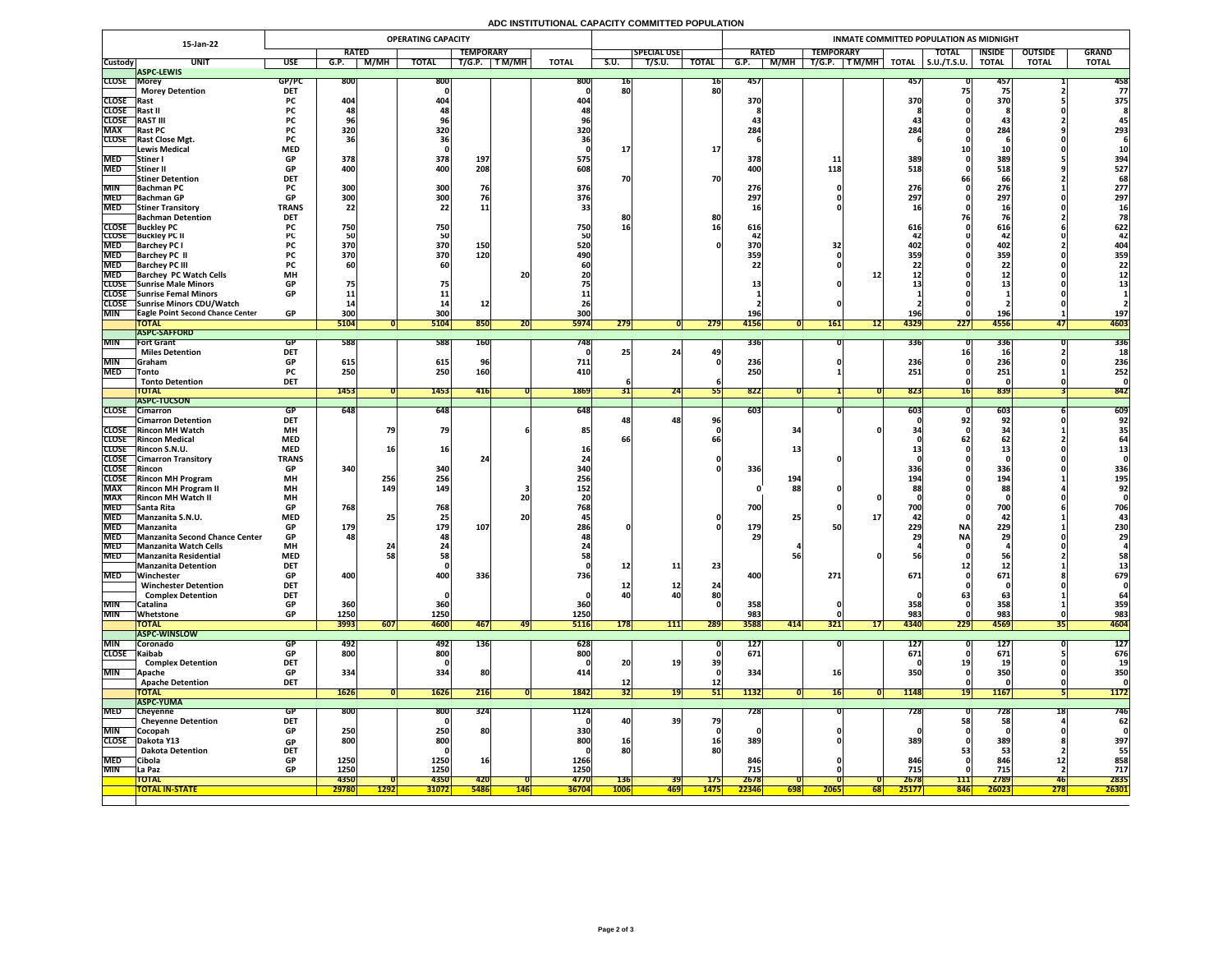# **ADC INSTITUTIONAL CAPACITY COMMITTED POPULATION**

|                          | 15-Jan-22                                                          |                           |                                |               | <b>OPERATING CAPACITY</b> |                  |            |                    |                 |                    |                   | INMATE COMMITTED POPULATION AS MIDNIGHT |                          |                                |                     |               |                |              |  |  |  |  |
|--------------------------|--------------------------------------------------------------------|---------------------------|--------------------------------|---------------|---------------------------|------------------|------------|--------------------|-----------------|--------------------|-------------------|-----------------------------------------|--------------------------|--------------------------------|---------------------|---------------|----------------|--------------|--|--|--|--|
|                          |                                                                    |                           | <b>RATED</b>                   |               |                           | <b>TEMPORARY</b> |            |                    |                 | <b>SPECIAL USE</b> |                   | <b>RATED</b>                            | <b>TEMPORARY</b>         |                                | <b>TOTAL</b>        | <b>INSIDE</b> | <b>OUTSIDE</b> | <b>GRAND</b> |  |  |  |  |
| <b>Custody</b>           | <b>UNIT</b>                                                        | <b>USE</b>                | G.P.                           | M/MH          | <b>TOTAL</b>              | T/G.P.           | T M/MH     | <b>TOTAL</b>       | <b>S.U.</b>     | T/S.U.             | <b>TOTAL</b>      | M/MH<br>G.P.                            | TM/MH<br>T/G.P.          | <b>TOTAL</b>                   | $\vert$ S.U./T.S.U. | <b>TOTAL</b>  | <b>TOTAL</b>   | <b>TOTAL</b> |  |  |  |  |
|                          | <b>ASPC-LEWIS</b>                                                  |                           |                                |               |                           |                  |            |                    |                 |                    |                   |                                         |                          |                                |                     |               |                |              |  |  |  |  |
| <b>CLOSE Morey</b>       | <b>Morey Detention</b>                                             | GP/PC<br><b>DET</b>       | <b>800</b>                     |               | 800                       |                  |            | 800                | TP.<br>80       |                    | 16 <br>80         | 457                                     |                          | 457                            |                     | 457           |                | 458<br>77    |  |  |  |  |
| <b>CLOSE</b> Rast        |                                                                    | <b>PC</b>                 | 404                            |               | 404                       |                  |            | 404                |                 |                    |                   | 370                                     |                          | 370                            |                     | 370           |                | 375          |  |  |  |  |
| <b>CLOSE</b>             | Rast II                                                            |                           |                                |               |                           |                  |            |                    |                 |                    |                   |                                         |                          |                                |                     |               |                |              |  |  |  |  |
| <b>CLOSE</b>             | <b>RAST III</b>                                                    | rc -                      |                                |               | 70                        |                  |            |                    |                 |                    |                   |                                         |                          |                                |                     | 4.            |                |              |  |  |  |  |
| <b>MAX</b>               | <b>Rast PC</b>                                                     | <b>PC</b>                 | 320                            |               | 320                       |                  |            | 320                |                 |                    |                   | 284                                     |                          | 284                            |                     | 284           |                | 293          |  |  |  |  |
|                          | <b>CLOSE</b> Rast Close Mgt.                                       | <b>PC</b>                 |                                |               |                           |                  |            |                    |                 |                    |                   |                                         |                          |                                |                     |               |                |              |  |  |  |  |
|                          | Lewis Medical                                                      | <b>MED</b>                |                                |               |                           |                  |            |                    |                 |                    | <b>17</b>         |                                         |                          |                                |                     |               |                |              |  |  |  |  |
| <b>MED</b>               | <b>Stiner</b> I                                                    | <b>GP</b>                 | 378                            |               | 378                       | 197              |            | 575                |                 |                    |                   | 378                                     | <u>11</u>                | 389                            |                     | 389           |                | 394          |  |  |  |  |
| <b>MED</b>               | <b>Stiner II</b><br><b>Stiner Detention</b>                        | <b>GP</b><br><b>DET</b>   | 400                            |               | 400                       | 208              |            | 608.               | 70              |                    | <b>70</b>         | 400                                     | 118                      | 518                            |                     | 518<br>66     |                | 527<br>68    |  |  |  |  |
| <b>MIN</b>               | <b>Bachman PC</b>                                                  |                           | 300                            |               | 300                       | 76               |            | 376                |                 |                    |                   | 276                                     |                          | 276                            |                     | 276           |                | 277          |  |  |  |  |
|                          | MED Bachman GP                                                     | <b>GP</b>                 | 300 <sub>l</sub><br><b>JUU</b> |               | 300                       |                  |            | 376                |                 |                    |                   | 297<br>LJ I                             |                          | 207 <sup>1</sup><br><i>LJI</i> |                     | 297<br>LJ I   |                | 297          |  |  |  |  |
| <b>MED</b>               | <b>Stiner Transitory</b>                                           | <b>TRANS</b>              | 22                             |               | 22                        |                  |            |                    |                 |                    |                   |                                         |                          |                                |                     |               |                |              |  |  |  |  |
|                          | <b>Bachman Detention</b>                                           | <b>DET</b>                |                                |               |                           |                  |            |                    | 8C              |                    | 80                |                                         |                          |                                |                     |               |                |              |  |  |  |  |
|                          | <b>CLOSE</b> Buckley PC                                            |                           | 750                            |               | 750                       |                  |            | 750                | 16              |                    | <b>16</b>         | 616                                     |                          | 616                            |                     | 616           |                | 622          |  |  |  |  |
|                          | <b>CLOSE</b> Buckley PC II                                         |                           |                                |               | <b>50</b>                 |                  |            |                    |                 |                    |                   |                                         |                          |                                |                     |               |                |              |  |  |  |  |
| <b>MED</b><br><b>MED</b> | <b>Barchey PC I</b><br><b>Barchey PC II</b>                        |                           | 370<br>370                     |               | 370<br>370                | 150<br>120       |            | 520<br>490         |                 |                    |                   | 370<br>359                              |                          | 402<br>359l                    |                     | 402<br>359    |                | 404<br>359   |  |  |  |  |
| <b>MED</b>               | <b>Barchey PC III</b>                                              |                           |                                |               | 60                        |                  |            |                    |                 |                    |                   |                                         |                          |                                |                     |               |                | 22           |  |  |  |  |
| <b>MED</b>               | <b>Barchey PC Watch Cells</b>                                      | <b>MH</b>                 |                                |               |                           |                  | 20         |                    |                 |                    |                   |                                         |                          |                                |                     | ┻┻            |                |              |  |  |  |  |
|                          | CLOSE Sunrise Male Minors                                          | <b>GP</b>                 |                                |               |                           |                  |            |                    |                 |                    |                   |                                         |                          |                                |                     |               |                |              |  |  |  |  |
|                          | CLOSE Sunrise Femal Minors                                         | <b>GP</b>                 |                                |               |                           |                  |            |                    |                 |                    |                   |                                         |                          |                                |                     |               |                |              |  |  |  |  |
|                          | CLOSE Sunrise Minors CDU/Watch                                     |                           |                                |               |                           |                  |            |                    |                 |                    |                   |                                         |                          |                                |                     |               |                |              |  |  |  |  |
| <b>MIN</b>               | <b>TEagle Point Second Chance Center</b><br><b>TOTAL</b>           | <b>GP</b>                 | 300<br>5104                    |               | 300<br>5104               | 850              |            | 300<br><b>5974</b> |                 |                    |                   | <b>196</b><br>4156                      |                          | <b>196</b><br>4329             | 227                 | 196<br>4556   |                | 197<br>4603  |  |  |  |  |
|                          | <b>ASPC-SAFFORD</b>                                                |                           |                                |               |                           |                  | ZU         |                    | 279             |                    | 279               |                                         | <b>161</b><br>12         |                                |                     |               |                |              |  |  |  |  |
| <b>MIN</b>               | <b>Fort Grant</b>                                                  | GP                        | 588                            |               | 588                       | <b>160</b>       |            | 748                |                 |                    |                   | 336                                     |                          | <b>336</b>                     |                     | 336           |                | 336          |  |  |  |  |
|                          | <b>Miles Detention</b>                                             | <b>DET</b>                |                                |               |                           |                  |            |                    |                 | 24                 | 49                |                                         |                          |                                |                     |               |                |              |  |  |  |  |
| <b>MIN</b>               | <b>Sanam</b>                                                       | <b>GP</b>                 | 615                            |               | 615                       |                  |            | 711                |                 |                    |                   | 236                                     |                          | 236                            |                     | 236           |                | 236          |  |  |  |  |
| <b>MED</b>               | <b>Tonto</b>                                                       | <b>PC</b>                 | 250                            |               | 250                       | 160              |            | 410                |                 |                    |                   | 250                                     |                          | 251                            |                     | 251           |                | 252          |  |  |  |  |
|                          | <b>Tonto Detention</b>                                             | <b>DET</b>                |                                |               |                           |                  |            |                    |                 |                    |                   |                                         |                          |                                |                     |               |                |              |  |  |  |  |
|                          | <b>TOTAL</b><br><b>ASPC-TUCSON</b>                                 |                           | 1453                           |               | <b>1453</b>               | 416              |            | 1869               |                 | 24                 |                   | 822                                     |                          | 823                            |                     | 839           |                | 842          |  |  |  |  |
|                          | CLOSE Cimarron                                                     | GP.                       | 648                            |               | 648                       |                  |            | 648                |                 |                    |                   | 603                                     |                          | 6031                           |                     | 603           |                | 609          |  |  |  |  |
|                          | <b>Cimarron Detention</b>                                          | <b>DET</b>                |                                |               |                           |                  |            |                    |                 | 48 <sub>1</sub>    | 96                |                                         |                          |                                |                     | 92            |                | 92           |  |  |  |  |
|                          | <b>CLOSE</b> Rincon MH Watch                                       | <b>MH</b>                 |                                |               | 79                        |                  |            | 85                 |                 |                    |                   | 34                                      |                          |                                |                     |               |                |              |  |  |  |  |
|                          | <b>CLOSE</b> Rincon Medical                                        | <b>MED</b>                |                                |               |                           |                  |            |                    |                 |                    |                   |                                         |                          |                                |                     |               |                |              |  |  |  |  |
|                          | CLOSE Rincon S.N.U.                                                | <b>MED</b>                |                                |               | 16I                       |                  |            |                    |                 |                    |                   |                                         |                          |                                |                     |               |                |              |  |  |  |  |
| <b>CLOSE</b> Rincon      | <b>CLOSE</b> Cimarron Transitory                                   | <b>TRANS</b><br><b>GP</b> | 340                            |               | 340                       |                  |            | <b>340</b>         |                 |                    |                   | 336                                     |                          | 336                            |                     | 336           |                | 336          |  |  |  |  |
|                          | <b>CLOSE</b> Rincon MH Program                                     | <b>MH</b>                 |                                | 256           | 256                       |                  |            | 256                |                 |                    |                   | 194                                     |                          | 194                            |                     | 194           |                | 195          |  |  |  |  |
| <b>MAX</b>               | <b>Rincon MH Program II</b>                                        | <b>MH</b>                 |                                | 149           | <b>149</b>                |                  |            | 152                |                 |                    |                   | 88                                      |                          |                                |                     | 88            |                | 92           |  |  |  |  |
| <b>MAX</b>               | <b>Rincon MH Watch II</b>                                          | <b>MH</b>                 |                                |               |                           |                  | 20         |                    |                 |                    |                   |                                         |                          |                                |                     |               |                |              |  |  |  |  |
| <b>MED</b>               | <b>Santa Rita</b>                                                  | <b>GP</b>                 | 768                            |               | 768                       |                  |            | 768                |                 |                    |                   | 700                                     |                          | 701                            |                     | 700           |                | 706          |  |  |  |  |
| <b>MED</b>               | Manzanita S.N.U.                                                   | <b>MED</b>                |                                |               | 25                        |                  | <b>20</b>  |                    |                 |                    |                   |                                         |                          |                                |                     | 42            |                |              |  |  |  |  |
| <b>MED</b>               | Manzanita                                                          | <b>GP</b>                 | 179                            |               | 179                       | 107              |            | 286.               |                 |                    |                   | 179                                     |                          | 229                            | <b>NA</b>           | 229           |                | 230          |  |  |  |  |
| <b>MED</b>               | MED Manzanita Second Chance Center<br><b>Manzanita Watch Cells</b> | <b>GP</b><br><b>MH</b>    | 481                            |               | 48                        |                  |            |                    |                 |                    |                   | 29                                      |                          |                                | <b>NAI</b>          | 29            |                | <b>29</b>    |  |  |  |  |
| <b>MED</b>               | Manzanita Residential                                              | <b>MED</b>                |                                |               | 58                        |                  |            |                    |                 |                    |                   |                                         |                          |                                |                     | F(            |                | 58           |  |  |  |  |
|                          | <b>Manzanita Detention</b>                                         | <b>DET</b>                |                                |               |                           |                  |            |                    | <b>12</b>       | 11                 | 23                |                                         |                          |                                |                     |               |                |              |  |  |  |  |
| <b>MED</b>               | Winchester                                                         | <b>GP</b>                 | 400                            |               | 400                       | 336              |            | <b>736</b>         |                 |                    |                   | 400                                     | 271                      | 671                            |                     | 671           |                | 679          |  |  |  |  |
|                          | <b>Winchester Detention</b>                                        | <b>DET</b>                |                                |               |                           |                  |            |                    |                 | <b>12</b>          | 24                |                                         |                          |                                |                     |               |                |              |  |  |  |  |
|                          | <b>Complex Detention</b>                                           | <b>DET</b>                |                                |               |                           |                  |            |                    | 40              | 40                 | 80                |                                         |                          |                                |                     |               |                |              |  |  |  |  |
| <b>MIN</b><br><b>MIN</b> | Catalina                                                           | <b>GP</b><br><b>GP</b>    | 360<br>1250                    |               | 360<br>1250               |                  |            | 360<br>1250        |                 |                    |                   | 358<br>983                              |                          | 358<br>9831                    |                     | 358<br>983    |                | 359<br>983   |  |  |  |  |
|                          | Whetstone<br><b>TOTAL</b>                                          |                           | 3993                           | 607           | <b>4600</b>               | 467              | 49         | <b>5116</b>        | 178             | 111                | 289               | 3588<br>414                             | <b>321</b><br> 17        | 4340                           | 229                 | 4569          | 35 I           | 4604         |  |  |  |  |
|                          | <b>ASPC-WINSLOW</b>                                                |                           |                                |               |                           |                  |            |                    |                 |                    |                   |                                         |                          |                                |                     |               |                |              |  |  |  |  |
| <b>MIN</b>               | <b>Coronado</b>                                                    | GP.                       | 492                            |               | 492                       | 136              |            | 628                |                 |                    |                   | <b>127</b>                              |                          | 127                            |                     | <b>127</b>    |                | <b>127</b>   |  |  |  |  |
| CLOSE Kaibab             |                                                                    | GP                        | 800                            |               | 800                       |                  |            | 800                |                 |                    |                   | 671                                     |                          | 671                            |                     | 671           |                | 676          |  |  |  |  |
|                          | <b>Complex Detention</b>                                           | <b>DET</b>                |                                |               |                           |                  |            |                    | 20              |                    | 39                |                                         |                          |                                |                     |               |                |              |  |  |  |  |
| <b>MIN</b>               | <b>Apache</b>                                                      | <b>GP</b><br><b>DET</b>   | 334                            |               | 334                       | 80               |            | 414                |                 |                    |                   | 334                                     | 16                       |                                |                     | 350           |                | 350          |  |  |  |  |
|                          | <b>Apache Detention</b><br><b>TOTAL</b>                            |                           | <b>1626</b>                    |               | 1626                      | 216              |            | 1842               | 32              |                    | 12 <br><b>PTI</b> | 1132                                    | 16                       | 1148                           |                     | <b>1167</b>   |                | <b>1172</b>  |  |  |  |  |
|                          | <b>ASPC-YUMA</b>                                                   |                           |                                |               |                           |                  |            |                    |                 |                    |                   |                                         |                          |                                |                     |               |                |              |  |  |  |  |
| <b>MED</b>               | Cheyenne                                                           | GP                        | <b>800</b>                     |               | 800                       | 324              |            | 1124               |                 |                    |                   | 728                                     |                          | 728                            |                     | 7 LO          |                | 746          |  |  |  |  |
|                          | <b>Cheyenne Detention</b>                                          | <b>DET</b>                |                                |               |                           |                  |            |                    | 40              | 39                 | 79                |                                         |                          |                                | 58                  |               |                | 62           |  |  |  |  |
| <b>MIN</b>               | Cocopah                                                            | <b>GP</b>                 | 250                            |               | 250                       | <b>80</b>        |            | 330                |                 |                    |                   |                                         |                          |                                |                     |               |                |              |  |  |  |  |
| <b>CLOSE</b>             | Dakota Y13                                                         | <b>GP</b><br><b>DET</b>   | 800                            |               | 800                       |                  |            | 800                | <b>16</b><br>80 |                    | <b>16</b><br>80   | 389                                     |                          | 389                            |                     | 389           |                | 397          |  |  |  |  |
| <b>MED</b>               | <b>Dakota Detention</b><br>Cibola                                  | <b>GP</b>                 | 1250                           |               | 1250                      | <b>16</b>        |            | 1266               |                 |                    |                   | 846                                     |                          | 846                            |                     | 846           | <b>12</b>      | 55<br>858    |  |  |  |  |
| <b>MIN</b>               | La Paz                                                             | <b>GP</b>                 | 1250                           |               | 1250                      |                  |            | 1250               |                 |                    |                   | 715                                     |                          | 715                            |                     | 715           |                | 717          |  |  |  |  |
|                          | <b>TOTAL</b>                                                       |                           | 4350                           |               | 4350                      | <b>420</b>       |            | 4770               | <b>136</b>      | <b>391</b>         | <b>175</b>        | 2678                                    |                          | 2678                           | 111                 | 2789          | 46             | 2835         |  |  |  |  |
|                          | <b>TOTAL IN-STATE</b>                                              |                           | 29780                          | <u>  1292</u> | <b>31072</b>              | <b>5486</b>      | <b>146</b> | <b>36704</b>       | <b>1006</b>     | <u> 469  </u>      | <b>1475</b>       | 22346<br><b>698</b>                     | <b>2065</b><br><b>68</b> | 25177                          | <b>846</b>          | 26023         | 278            | 26301        |  |  |  |  |